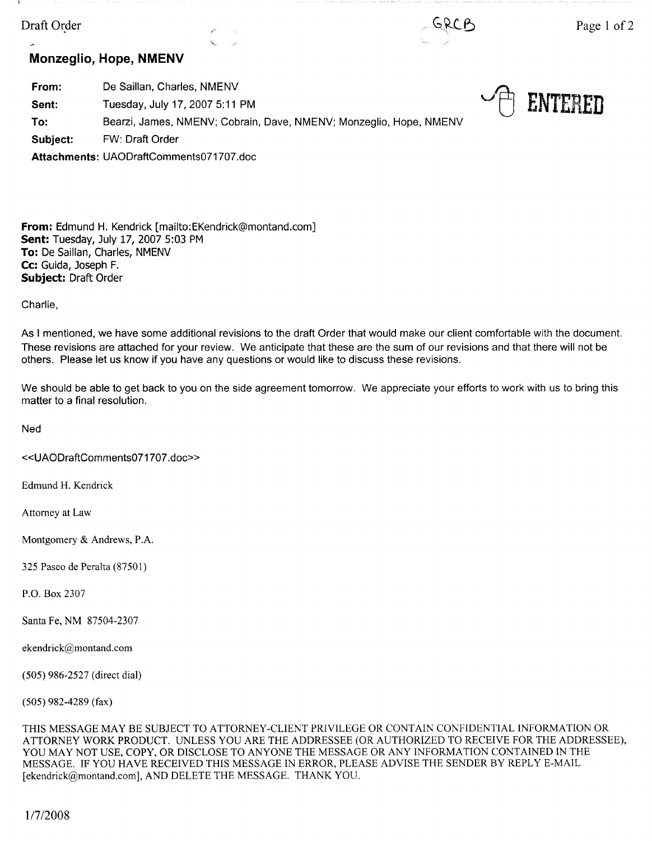# Draft Order



 $\mathbf{r}$ 

[} **ENTERED** 

# **Monzeglio, Hope, NMENV**

**From: Sent: To: Subject:**  De Saillan, Charles, NMENV Tuesday, July 17, 2007 5:11 PM Bearzi, James, NMENV; Cobrain, Dave, NMENV; Monzeglio, Hope, NMENV FW: Draft Order **Attachments:** UAODraftComments071707.doc

**From:** Edmund H. Kendrick [mailto:EKendrick@montand.com] **Sent:** Tuesday, July 17, 2007 5:03 PM **To:** De Saillan, Charles, NMENV **Cc:** Guida, Joseph F. **Subject:** Draft Order

Charlie,

As I mentioned, we have some additional revisions to the draft Order that would make our client comfortable with the document. These revisions are attached for your review. We anticipate that these are the sum of our revisions and that there will not be others. Please let us know if you have any questions or would like to discuss these revisions.

We should be able to get back to you on the side agreement tomorrow. We appreciate your efforts to work with us to bring this matter to a final resolution.

**Ned** 

«UAODraftComments071707 .doc»

Edmund H. Kendrick

Attorney at Law

Montgomery & Andrews, P.A.

325 Paseo de Peralta (87501)

P.O. Box 2307

Santa Fe, NM 87504-2307

ekendrick@montand.com

(505) 986-2527 (direct dial)

(505) 982-4289 (fax)

THIS MESSAGE MAY BE SUBJECT TO ATTORNEY-CLIENT PRIVILEGE OR CONTAIN CONFIDENTIAL INFORMATION OR ATTORNEY WORK PRODUCT. UNLESS YOU ARE THE ADDRESSEE (OR AUTHORIZED TO RECEIVE FOR THE ADDRESSEE), YOU MAY NOT USE, COPY, OR DISCLOSE TO ANYONE THE MESSAGE OR ANY INFORMATION CONTAINED IN THE MESSAGE. IF YOU HAVE RECEIVED THIS MESSAGE IN ERROR, PLEASE ADVISE THE SENDER BY REPLY E-MAIL [ekendrick@montand.com], AND DELETE THE MESSAGE. THANK YOU.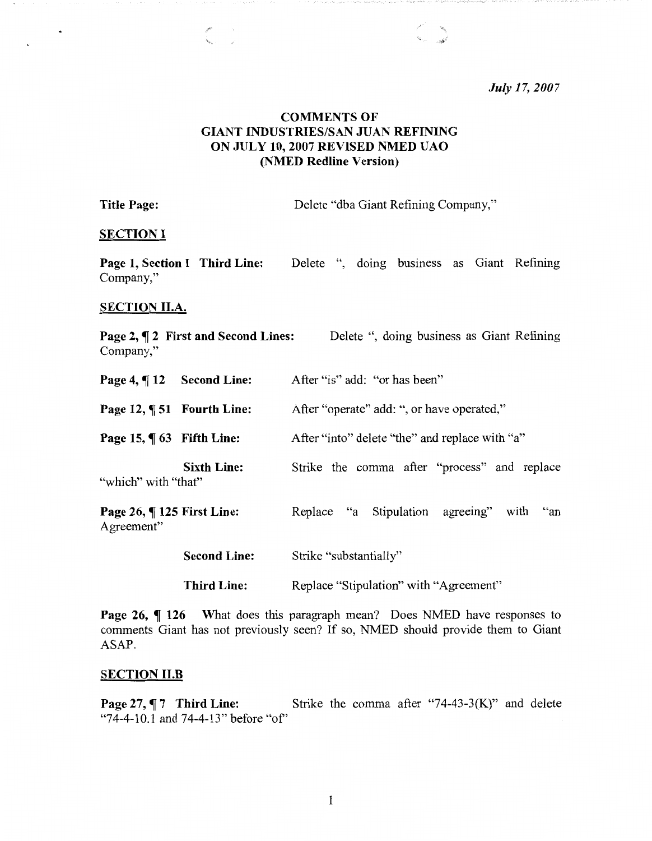*July 17, 2007* 

# **COMMENTS OF GIANT INDUSTRIES/SAN JUAN REFINING ON JULY 10, 2007 REVISED NMED UAO (NMED Redline Version)**

Title Page: Delete "dba Giant Refining Company,"

C.

# **SECTION** I

**Page 1, Section I Third Line:** Delete ", doing business as Giant Refining Company,"

## **SECTION II.A.**

| Company,"                                   | Page 2, ¶ 2 First and Second Lines: | Delete ", doing business as Giant Refining     |
|---------------------------------------------|-------------------------------------|------------------------------------------------|
| Page 4, ¶12 Second Line:                    |                                     | After "is" add: "or has been"                  |
| Page 12, ¶ 51 Fourth Line:                  |                                     | After "operate" add: ", or have operated,"     |
| Page 15, $\P$ 63 Fifth Line:                |                                     | After "into" delete "the" and replace with "a" |
| "which" with "that"                         | <b>Sixth Line:</b>                  | Strike the comma after "process" and replace   |
| Page 26, $\P$ 125 First Line:<br>Agreement" |                                     | Replace "a Stipulation agreeing" with "an      |
|                                             | <b>Second Line:</b>                 | Strike "substantially"                         |
|                                             | <b>Third Line:</b>                  | Replace "Stipulation" with "Agreement"         |

**Page 26,**  $\P$  **126** What does this paragraph mean? Does NMED have responses to comments Giant has not previously seen? If so, NMED should provide them to Giant ASAP.

# **SECTION 11.B**

**Page 27, 17 Third Line:** Strike the comma after "74-43-3(K)" and delete "74-4-10.1 and 74-4-13" before "of'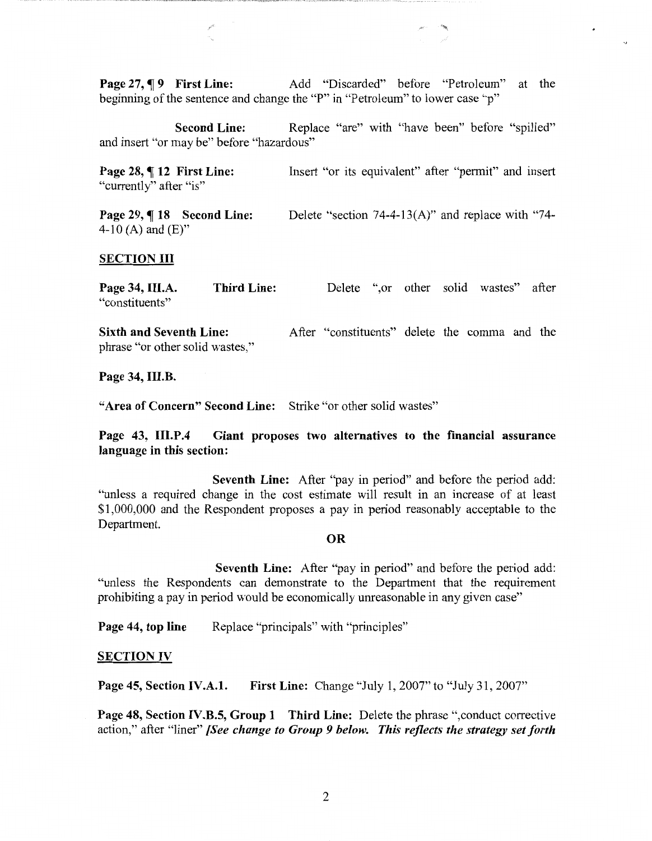**Page 27, 19 First Line:** Add "Discarded" before "Petroleum" at the beginning of the sentence and change the "P" in "Petroleum" to lower case "p"

**Second Line:** Replace "are" with "have been" before "spilled" and insert "or may be" before "hazardous"

**Page 28, ¶ 12 First Line:** "currently" after "is" Insert "or its equivalent" after "permit" and insert

Page 29, ¶ 18 Second Line: 4-10 (A) and  $(E)$ " Delete "section 74-4-13(A)" and replace with "74-

#### **SECTION** III

**Page 34, III.A.**  "constituents" **Third Line:**  Delete ",or other solid wastes" after

**Sixth and Seventh Line:**  phrase "or other solid wastes," After "constituents" delete the comma and the

**Page 34, III.B.** 

**"Area of Concern" Second Line:** Strike "or other solid wastes"

**Page 43, III.P.4 Giant proposes two alternatives to the financial assurance language in this section:** 

**Seventh Line:** After "pay in period" and before the period add: "unless a required change in the cost estimate will result in an increase of at least \$1,000,000 and the Respondent proposes a pay in period reasonably acceptable to the Department.

## **OR**

**Seventh Line:** After "pay in period" and before the period add: "unless the Respondents can demonstrate to the Department that the requirement prohibiting a pay in period would be economically unreasonable in any given case"

**Page 44, top line** Replace "principals" with "principles"

#### **SECTION IV**

**Page 45, Section IV.A.1. First Line:** Change "July 1, 2007" to "July 31, 2007"

**Page 48, Section IV.B.5, Group 1 Third Line:** Delete the phrase ",conduct corrective action," after "liner" *[See change to Group 9 below. This reflects the strategy set forth*